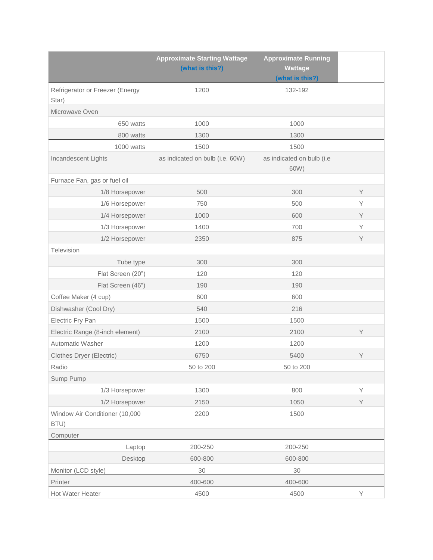|                                          | <b>Approximate Running</b><br><b>Approximate Starting Wattage</b><br>(what is this?)<br><b>Wattage</b><br>(what is this?) |                                   |   |
|------------------------------------------|---------------------------------------------------------------------------------------------------------------------------|-----------------------------------|---|
| Refrigerator or Freezer (Energy<br>Star) | 1200                                                                                                                      | 132-192                           |   |
| Microwave Oven                           |                                                                                                                           |                                   |   |
| 650 watts                                | 1000                                                                                                                      | 1000                              |   |
| 800 watts                                | 1300                                                                                                                      | 1300                              |   |
| 1000 watts                               | 1500                                                                                                                      | 1500                              |   |
| Incandescent Lights                      | as indicated on bulb (i.e. 60W)                                                                                           | as indicated on bulb (i.e<br>60W) |   |
| Furnace Fan, gas or fuel oil             |                                                                                                                           |                                   |   |
| 1/8 Horsepower                           | 500                                                                                                                       | 300                               | Y |
| 1/6 Horsepower                           | 750                                                                                                                       | 500                               | Υ |
| 1/4 Horsepower                           | 1000                                                                                                                      | 600                               | Y |
| 1/3 Horsepower                           | 1400                                                                                                                      | 700                               | Y |
| 1/2 Horsepower                           | 2350                                                                                                                      | 875                               | Y |
| Television                               |                                                                                                                           |                                   |   |
| Tube type                                | 300                                                                                                                       | 300                               |   |
| Flat Screen (20")                        | 120                                                                                                                       | 120                               |   |
| Flat Screen (46")                        | 190                                                                                                                       | 190                               |   |
| Coffee Maker (4 cup)                     | 600                                                                                                                       | 600                               |   |
| Dishwasher (Cool Dry)                    | 540                                                                                                                       | 216                               |   |
| Electric Fry Pan                         | 1500                                                                                                                      | 1500                              |   |
| Electric Range (8-inch element)          | 2100                                                                                                                      | 2100                              | Y |
| Automatic Washer                         | 1200                                                                                                                      | 1200                              |   |
| Clothes Dryer (Electric)                 | 6750                                                                                                                      | 5400                              | Υ |
| Radio                                    | 50 to 200                                                                                                                 | 50 to 200                         |   |
| Sump Pump                                |                                                                                                                           |                                   |   |
| 1/3 Horsepower                           | 1300                                                                                                                      | 800                               | Y |
| 1/2 Horsepower                           | 2150                                                                                                                      | 1050                              | Y |
| Window Air Conditioner (10,000<br>BTU)   | 2200                                                                                                                      | 1500                              |   |
| Computer                                 |                                                                                                                           |                                   |   |
| Laptop                                   | 200-250                                                                                                                   | 200-250                           |   |
| Desktop                                  | 600-800                                                                                                                   | 600-800                           |   |
| Monitor (LCD style)                      | 30                                                                                                                        | 30                                |   |
| Printer                                  | 400-600                                                                                                                   | 400-600                           |   |
| Hot Water Heater                         | 4500                                                                                                                      | 4500                              | Y |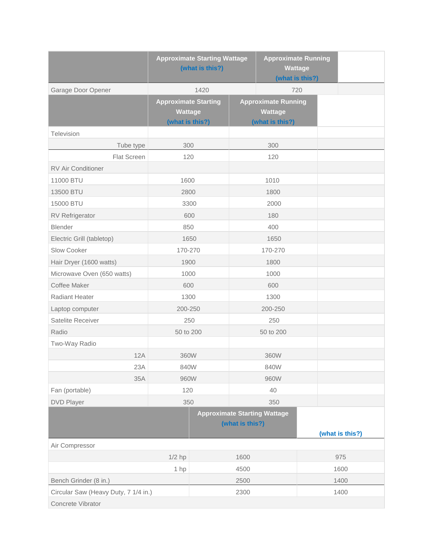|                                      | <b>Approximate Starting Wattage</b><br>(what is this?)           |      |                 | <b>Approximate Running</b><br><b>Wattage</b><br>(what is this?) |  |                 |
|--------------------------------------|------------------------------------------------------------------|------|-----------------|-----------------------------------------------------------------|--|-----------------|
| Garage Door Opener                   | 1420                                                             |      | 720             |                                                                 |  |                 |
|                                      | <b>Approximate Starting</b><br><b>Wattage</b><br>(what is this?) |      |                 | <b>Approximate Running</b><br>Wattage<br>(what is this?)        |  |                 |
| Television                           |                                                                  |      |                 |                                                                 |  |                 |
| Tube type                            | 300                                                              |      | 300             |                                                                 |  |                 |
| Flat Screen                          | 120                                                              |      |                 | 120                                                             |  |                 |
| <b>RV Air Conditioner</b>            |                                                                  |      |                 |                                                                 |  |                 |
| 11000 BTU                            | 1600                                                             |      | 1010            |                                                                 |  |                 |
| 13500 BTU                            | 2800                                                             |      |                 | 1800                                                            |  |                 |
| 15000 BTU                            | 3300                                                             |      | 2000            |                                                                 |  |                 |
| <b>RV Refrigerator</b>               | 600                                                              |      |                 | 180                                                             |  |                 |
| Blender                              | 850                                                              |      |                 | 400                                                             |  |                 |
| Electric Grill (tabletop)            | 1650                                                             |      |                 | 1650                                                            |  |                 |
| Slow Cooker                          | 170-270                                                          |      |                 | 170-270                                                         |  |                 |
| Hair Dryer (1600 watts)              | 1900                                                             |      |                 | 1800                                                            |  |                 |
| Microwave Oven (650 watts)           | 1000                                                             |      |                 | 1000                                                            |  |                 |
| Coffee Maker                         | 600                                                              |      |                 | 600                                                             |  |                 |
| Radiant Heater                       | 1300                                                             |      |                 | 1300                                                            |  |                 |
| Laptop computer                      | 200-250                                                          |      |                 | 200-250                                                         |  |                 |
| Satelite Receiver                    | 250                                                              |      |                 | 250                                                             |  |                 |
| Radio                                | 50 to 200                                                        |      |                 | 50 to 200                                                       |  |                 |
| Two-Way Radio                        |                                                                  |      |                 |                                                                 |  |                 |
| 12A                                  | 360W                                                             |      |                 | 360W                                                            |  |                 |
| 23A                                  | 840W                                                             |      |                 | 840W                                                            |  |                 |
| 35A                                  | 960W                                                             |      |                 | 960W                                                            |  |                 |
| Fan (portable)                       | 120                                                              |      |                 | 40                                                              |  |                 |
| <b>DVD Player</b>                    | 350                                                              |      | 350             |                                                                 |  |                 |
|                                      |                                                                  |      | (what is this?) | <b>Approximate Starting Wattage</b>                             |  | (what is this?) |
| Air Compressor                       |                                                                  |      |                 |                                                                 |  |                 |
|                                      | $1/2$ hp                                                         |      | 1600            |                                                                 |  | 975             |
|                                      | 1 hp                                                             |      | 4500            |                                                                 |  | 1600            |
| Bench Grinder (8 in.)                |                                                                  | 2500 |                 |                                                                 |  | 1400            |
| Circular Saw (Heavy Duty, 7 1/4 in.) |                                                                  | 2300 |                 |                                                                 |  | 1400            |
| Concrete Vibrator                    |                                                                  |      |                 |                                                                 |  |                 |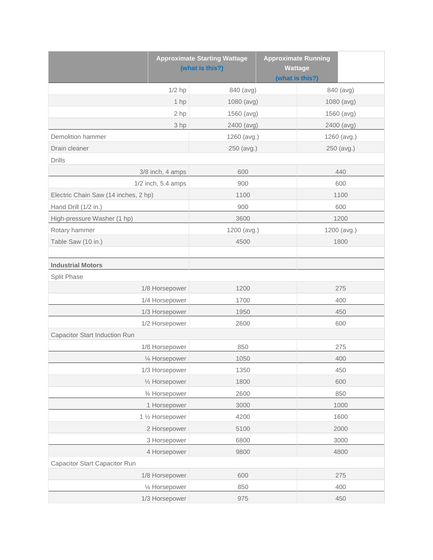|                                      | <b>Approximate Starting Wattage</b><br>(what is this?) |             | <b>Approximate Running</b><br><b>Wattage</b><br>(what is this?) |             |             |
|--------------------------------------|--------------------------------------------------------|-------------|-----------------------------------------------------------------|-------------|-------------|
|                                      | $1/2$ hp                                               | 840 (avg)   |                                                                 |             | 840 (avg)   |
|                                      | $1$ hp                                                 | 1080 (avg)  |                                                                 |             | 1080 (avg)  |
|                                      | 2 hp                                                   | 1560 (avg)  |                                                                 |             | 1560 (avg)  |
|                                      | 3 hp                                                   | 2400 (avg)  |                                                                 |             | 2400 (avg)  |
| Demolition hammer                    |                                                        | 1260 (avg.) |                                                                 | 1260 (avg.) |             |
| Drain cleaner                        |                                                        | 250 (avg.)  |                                                                 |             | 250 (avg.)  |
| <b>Drills</b>                        |                                                        |             |                                                                 |             |             |
|                                      | 3/8 inch, 4 amps                                       | 600         |                                                                 |             | 440         |
|                                      | 1/2 inch, 5.4 amps                                     | 900         |                                                                 |             | 600         |
| Electric Chain Saw (14 inches, 2 hp) |                                                        | 1100        |                                                                 | 1100        |             |
| Hand Drill (1/2 in.)                 |                                                        | 900         |                                                                 |             | 600         |
| High-pressure Washer (1 hp)          |                                                        | 3600        |                                                                 |             | 1200        |
| Rotary hammer                        |                                                        | 1200 (avg.) |                                                                 |             | 1200 (avg.) |
| Table Saw (10 in.)                   |                                                        | 4500        |                                                                 |             | 1800        |
|                                      |                                                        |             |                                                                 |             |             |
| <b>Industrial Motors</b>             |                                                        |             |                                                                 |             |             |
| Split Phase                          |                                                        |             |                                                                 |             |             |
|                                      | 1/8 Horsepower                                         | 1200        |                                                                 |             | 275         |
|                                      | 1/4 Horsepower                                         | 1700        |                                                                 |             | 400         |
|                                      | 1/3 Horsepower                                         | 1950        |                                                                 |             | 450         |
|                                      | 1/2 Horsepower                                         | 2600        |                                                                 |             | 600         |
| Capacitor Start Induction Run        |                                                        |             |                                                                 |             |             |
|                                      | 1/8 Horsepower                                         | 850         |                                                                 |             | 275         |
|                                      | 1⁄4 Horsepower                                         | 1050        |                                                                 |             | 400         |
|                                      | 1/3 Horsepower                                         | 1350        |                                                                 |             | 450         |
|                                      | 1/2 Horsepower                                         | 1800        |                                                                 |             | 600         |
|                                      | 3⁄4 Horsepower                                         | 2600        |                                                                 |             | 850         |
|                                      | 1 Horsepower                                           | 3000        |                                                                 |             | 1000        |
|                                      | 1 1/2 Horsepower                                       | 4200        |                                                                 |             | 1600        |
|                                      | 2 Horsepower                                           | 5100        |                                                                 |             | 2000        |
|                                      | 3 Horsepower                                           | 6800        |                                                                 |             | 3000        |
| 4 Horsepower                         |                                                        | 9800        |                                                                 | 4800        |             |
| Capacitor Start Capacitor Run        |                                                        |             |                                                                 |             |             |
|                                      | 1/8 Horsepower                                         | 600         |                                                                 |             | 275         |
|                                      | 1/4 Horsepower                                         | 850         |                                                                 |             | 400         |
|                                      | 1/3 Horsepower                                         | 975         |                                                                 |             | 450         |